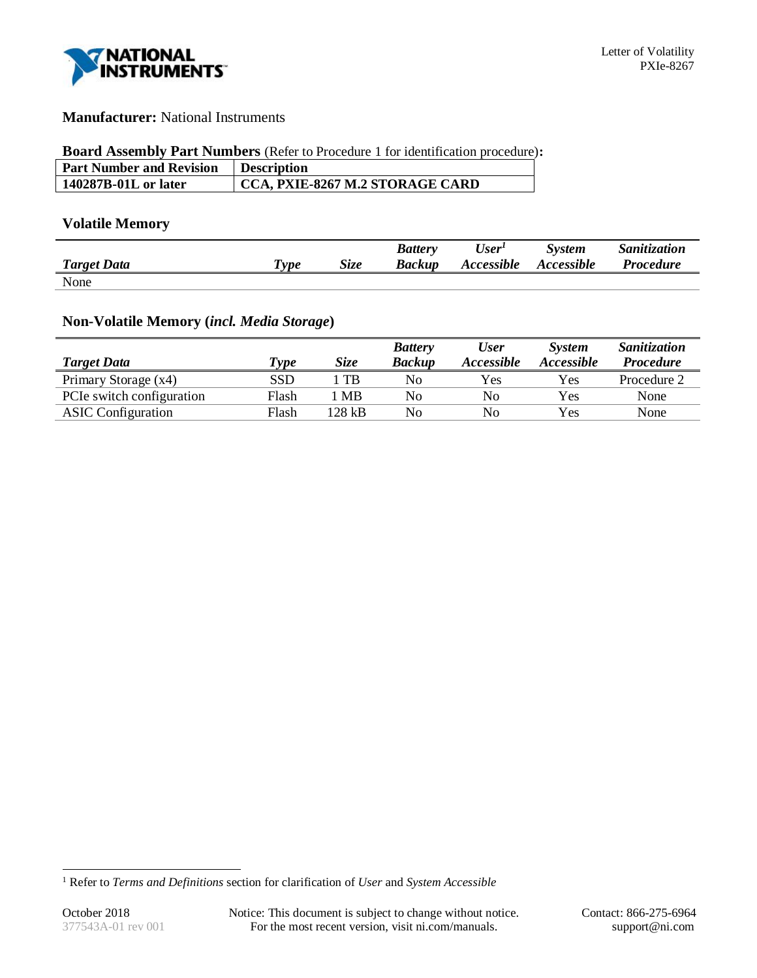

## **Manufacturer:** National Instruments

## **Board Assembly Part Numbers** (Refer to Procedure 1 for identification procedure)**:**

| <b>Part Number and Revision</b> | <b>Description</b>                      |
|---------------------------------|-----------------------------------------|
| 140287B-01L or later            | $\vert$ CCA, PXIE-8267 M.2 STORAGE CARD |

## **Volatile Memory**

|                    |                                    |             | <b>Battery</b> | User <sup>I</sup>        | <b>System</b> | Sanitization     |
|--------------------|------------------------------------|-------------|----------------|--------------------------|---------------|------------------|
| <b>Target Data</b> | $\boldsymbol{\tau}_{\textit{ype}}$ | <b>Size</b> | Backup         | <i><b>Accessible</b></i> | Accessible    | <i>Procedure</i> |
| None               |                                    |             |                |                          |               |                  |

# **Non-Volatile Memory (***incl. Media Storage***)**

|                           |             |             | <b>Battery</b> | <b>User</b>    | <b>System</b>     | Sanitization     |
|---------------------------|-------------|-------------|----------------|----------------|-------------------|------------------|
| <b>Target Data</b>        | <b>Type</b> | <b>Size</b> | <b>Backup</b>  | Accessible     | <i>Accessible</i> | <b>Procedure</b> |
| Primary Storage (x4)      | SSD         | $T_{\rm B}$ | No             | Yes            | Yes               | Procedure 2      |
| PCIe switch configuration | Flash       | MB          | No             | No             | Yes               | None             |
| <b>ASIC</b> Configuration | Flash       | 128 kB      | No             | N <sub>0</sub> | Yes               | None             |

l

<sup>1</sup> Refer to *Terms and Definitions* section for clarification of *User* and *System Accessible*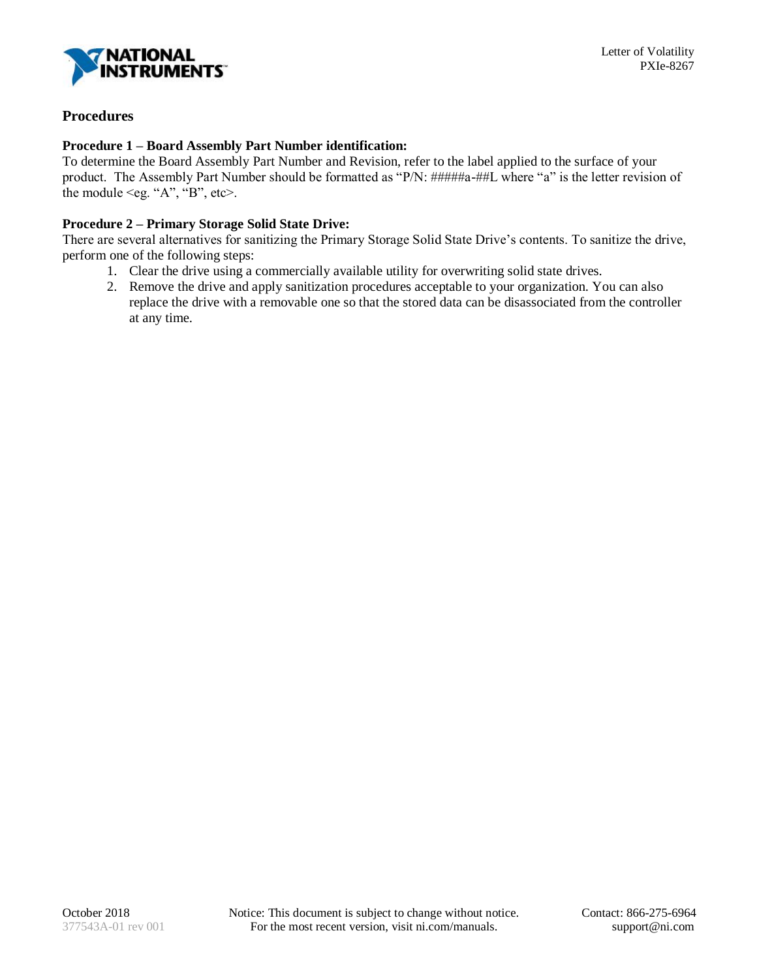

## **Procedures**

## **Procedure 1 – Board Assembly Part Number identification:**

To determine the Board Assembly Part Number and Revision, refer to the label applied to the surface of your product. The Assembly Part Number should be formatted as "P/N: #####a-##L where "a" is the letter revision of the module  $\leq$ eg. "A", "B", etc $\geq$ .

## **Procedure 2 – Primary Storage Solid State Drive:**

There are several alternatives for sanitizing the Primary Storage Solid State Drive's contents. To sanitize the drive, perform one of the following steps:

- 1. Clear the drive using a commercially available utility for overwriting solid state drives.
- 2. Remove the drive and apply sanitization procedures acceptable to your organization. You can also replace the drive with a removable one so that the stored data can be disassociated from the controller at any time.